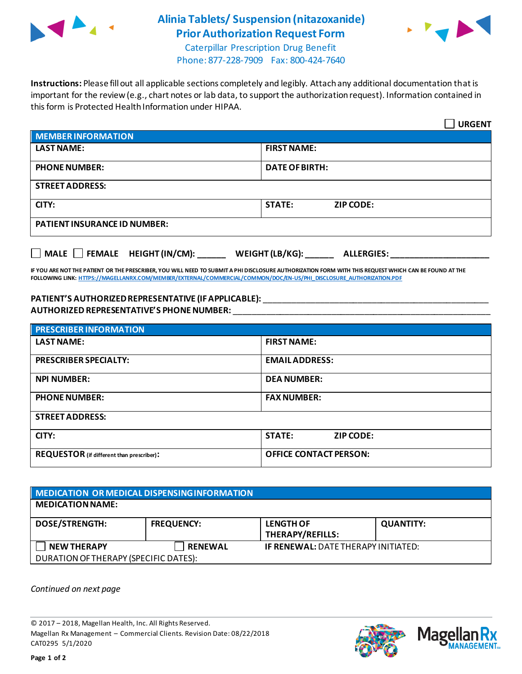

## **Alinia Tablets/ Suspension (nitazoxanide) Prior Authorization Request Form**



Caterpillar Prescription Drug Benefit Phone: 877-228-7909 Fax: 800-424-7640

**Instructions:** Please fill out all applicable sections completely and legibly. Attach any additional documentation that is important for the review (e.g., chart notes or lab data, to support the authorization request). Information contained in this form is Protected Health Information under HIPAA.

|                                                                                   | <b>URGENT</b>                     |  |  |  |
|-----------------------------------------------------------------------------------|-----------------------------------|--|--|--|
| <b>MEMBER INFORMATION</b>                                                         |                                   |  |  |  |
| <b>LAST NAME:</b>                                                                 | <b>FIRST NAME:</b>                |  |  |  |
| <b>PHONE NUMBER:</b>                                                              | <b>DATE OF BIRTH:</b>             |  |  |  |
| <b>STREET ADDRESS:</b>                                                            |                                   |  |  |  |
| CITY:                                                                             | <b>STATE:</b><br><b>ZIP CODE:</b> |  |  |  |
| <b>PATIENT INSURANCE ID NUMBER:</b>                                               |                                   |  |  |  |
| $\Box$ MALE $\Box$ FEMALE HEIGHT (IN/CM):<br>WEIGHT (LB/KG):<br><b>ALLERGIES:</b> |                                   |  |  |  |

**IF YOU ARE NOT THE PATIENT OR THE PRESCRIBER, YOU WILL NEED TO SUBMIT A PHI DISCLOSURE AUTHORIZATION FORM WITH THIS REQUEST WHICH CAN BE FOUND AT THE FOLLOWING LINK[: HTTPS://MAGELLANRX.COM/MEMBER/EXTERNAL/COMMERCIAL/COMMON/DOC/EN-US/PHI\\_DISCLOSURE\\_AUTHORIZATION.PDF](https://magellanrx.com/member/external/commercial/common/doc/en-us/PHI_Disclosure_Authorization.pdf)**

## **PATIENT'S AUTHORIZEDREPRESENTATIVE (IF APPLICABLE):** \_\_\_\_\_\_\_\_\_\_\_\_\_\_\_\_\_\_\_\_\_\_\_\_\_\_\_\_\_\_\_\_\_\_\_\_\_\_\_\_\_\_\_\_\_\_\_\_ **AUTHORIZED REPRESENTATIVE'S PHONE NUMBER:** \_\_\_\_\_\_\_\_\_\_\_\_\_\_\_\_\_\_\_\_\_\_\_\_\_\_\_\_\_\_\_\_\_\_\_\_\_\_\_\_\_\_\_\_\_\_\_\_\_\_\_\_\_\_\_

| <b>PRESCRIBER INFORMATION</b>             |                                   |  |
|-------------------------------------------|-----------------------------------|--|
| <b>LAST NAME:</b>                         | <b>FIRST NAME:</b>                |  |
| <b>PRESCRIBER SPECIALTY:</b>              | <b>EMAIL ADDRESS:</b>             |  |
| <b>NPI NUMBER:</b>                        | <b>DEA NUMBER:</b>                |  |
| <b>PHONE NUMBER:</b>                      | <b>FAX NUMBER:</b>                |  |
| <b>STREET ADDRESS:</b>                    |                                   |  |
| CITY:                                     | <b>STATE:</b><br><b>ZIP CODE:</b> |  |
| REQUESTOR (if different than prescriber): | <b>OFFICE CONTACT PERSON:</b>     |  |

| MEDICATION OR MEDICAL DISPENSING INFORMATION |                   |                                             |                  |  |  |
|----------------------------------------------|-------------------|---------------------------------------------|------------------|--|--|
| <b>MEDICATION NAME:</b>                      |                   |                                             |                  |  |  |
| <b>DOSE/STRENGTH:</b>                        | <b>FREQUENCY:</b> | <b>LENGTH OF</b><br><b>THERAPY/REFILLS:</b> | <b>QUANTITY:</b> |  |  |
| <b>NEW THERAPY</b>                           | <b>RENEWAL</b>    | <b>IF RENEWAL: DATE THERAPY INITIATED:</b>  |                  |  |  |
| DURATION OF THERAPY (SPECIFIC DATES):        |                   |                                             |                  |  |  |

*Continued on next page*

© 2017 – 2018, Magellan Health, Inc. All Rights Reserved. Magellan Rx Management – Commercial Clients. Revision Date: 08/22/2018 CAT0295 5/1/2020